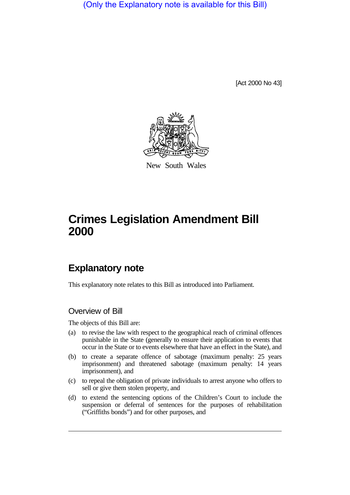(Only the Explanatory note is available for this Bill)

[Act 2000 No 43]



New South Wales

# **Crimes Legislation Amendment Bill 2000**

# **Explanatory note**

This explanatory note relates to this Bill as introduced into Parliament.

# Overview of Bill

The objects of this Bill are:

- (a) to revise the law with respect to the geographical reach of criminal offences punishable in the State (generally to ensure their application to events that occur in the State or to events elsewhere that have an effect in the State), and
- (b) to create a separate offence of sabotage (maximum penalty: 25 years imprisonment) and threatened sabotage (maximum penalty: 14 years imprisonment), and
- (c) to repeal the obligation of private individuals to arrest anyone who offers to sell or give them stolen property, and
- (d) to extend the sentencing options of the Children's Court to include the suspension or deferral of sentences for the purposes of rehabilitation ("Griffiths bonds") and for other purposes, and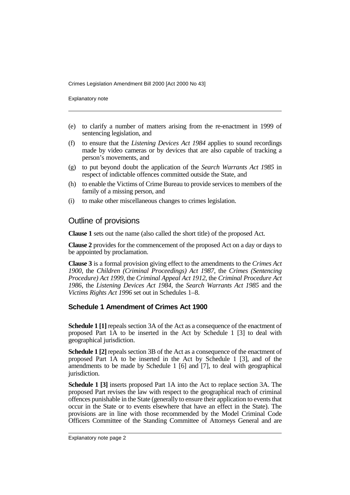Explanatory note

- (e) to clarify a number of matters arising from the re-enactment in 1999 of sentencing legislation, and
- (f) to ensure that the *Listening Devices Act 1984* applies to sound recordings made by video cameras or by devices that are also capable of tracking a person's movements, and
- (g) to put beyond doubt the application of the *Search Warrants Act 1985* in respect of indictable offences committed outside the State, and
- (h) to enable the Victims of Crime Bureau to provide services to members of the family of a missing person, and
- (i) to make other miscellaneous changes to crimes legislation.

# Outline of provisions

**Clause 1** sets out the name (also called the short title) of the proposed Act.

**Clause 2** provides for the commencement of the proposed Act on a day or days to be appointed by proclamation.

**Clause 3** is a formal provision giving effect to the amendments to the *Crimes Act 1900*, the *Children (Criminal Proceedings) Act 1987*, the *Crimes (Sentencing Procedure) Act 1999*, the *Criminal Appeal Act 1912*, the *Criminal Procedure Act 1986*, the *Listening Devices Act 1984*, the *Search Warrants Act 1985* and the *Victims Rights Act 1996* set out in Schedules 1–8.

# **Schedule 1 Amendment of Crimes Act 1900**

**Schedule 1 [1]** repeals section 3A of the Act as a consequence of the enactment of proposed Part 1A to be inserted in the Act by Schedule 1 [3] to deal with geographical jurisdiction.

**Schedule 1 [2]** repeals section 3B of the Act as a consequence of the enactment of proposed Part 1A to be inserted in the Act by Schedule 1 [3], and of the amendments to be made by Schedule 1 [6] and [7], to deal with geographical jurisdiction.

**Schedule 1 [3]** inserts proposed Part 1A into the Act to replace section 3A. The proposed Part revises the law with respect to the geographical reach of criminal offences punishable in the State (generally to ensure their application to events that occur in the State or to events elsewhere that have an effect in the State). The provisions are in line with those recommended by the Model Criminal Code Officers Committee of the Standing Committee of Attorneys General and are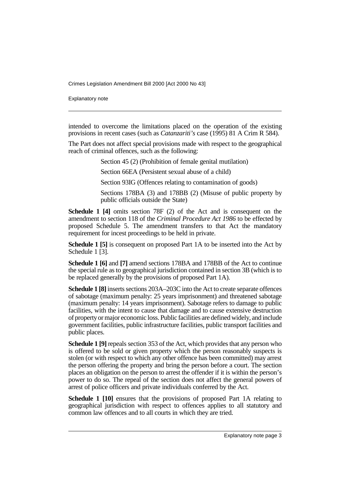Explanatory note

intended to overcome the limitations placed on the operation of the existing provisions in recent cases (such as *Catanzariti's* case (1995) 81 A Crim R 584).

The Part does not affect special provisions made with respect to the geographical reach of criminal offences, such as the following:

Section 45 (2) (Prohibition of female genital mutilation)

Section 66EA (Persistent sexual abuse of a child)

Section 93IG (Offences relating to contamination of goods)

Sections 178BA (3) and 178BB (2) (Misuse of public property by public officials outside the State)

**Schedule 1 [4]** omits section 78F (2) of the Act and is consequent on the amendment to section 118 of the *Criminal Procedure Act 1986* to be effected by proposed Schedule 5. The amendment transfers to that Act the mandatory requirement for incest proceedings to be held in private.

**Schedule 1 [5]** is consequent on proposed Part 1A to be inserted into the Act by Schedule 1 [3].

**Schedule 1 [6]** and **[7]** amend sections 178BA and 178BB of the Act to continue the special rule as to geographical jurisdiction contained in section 3B (which is to be replaced generally by the provisions of proposed Part 1A).

**Schedule 1 [8]** inserts sections 203A–203C into the Act to create separate offences of sabotage (maximum penalty: 25 years imprisonment) and threatened sabotage (maximum penalty: 14 years imprisonment). Sabotage refers to damage to public facilities, with the intent to cause that damage and to cause extensive destruction of property or major economic loss. Public facilities are defined widely, and include government facilities, public infrastructure facilities, public transport facilities and public places.

**Schedule 1 [9]** repeals section 353 of the Act, which provides that any person who is offered to be sold or given property which the person reasonably suspects is stolen (or with respect to which any other offence has been committed) may arrest the person offering the property and bring the person before a court. The section places an obligation on the person to arrest the offender if it is within the person's power to do so. The repeal of the section does not affect the general powers of arrest of police officers and private individuals conferred by the Act.

**Schedule 1 [10]** ensures that the provisions of proposed Part 1A relating to geographical jurisdiction with respect to offences applies to all statutory and common law offences and to all courts in which they are tried.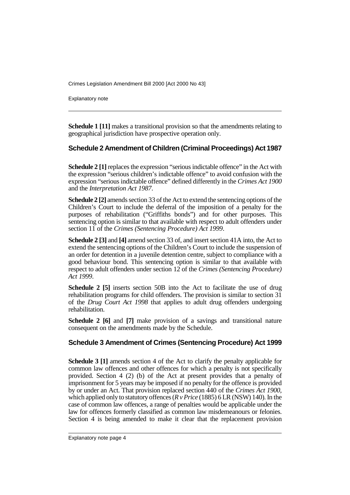Explanatory note

**Schedule 1 [11]** makes a transitional provision so that the amendments relating to geographical jurisdiction have prospective operation only.

#### **Schedule 2 Amendment of Children (Criminal Proceedings) Act 1987**

**Schedule 2 [1]** replaces the expression "serious indictable offence" in the Act with the expression "serious children's indictable offence" to avoid confusion with the expression "serious indictable offence" defined differently in the *Crimes Act 1900* and the *Interpretation Act 1987*.

**Schedule 2 [2]** amends section 33 of the Act to extend the sentencing options of the Children's Court to include the deferral of the imposition of a penalty for the purposes of rehabilitation ("Griffiths bonds") and for other purposes. This sentencing option is similar to that available with respect to adult offenders under section 11 of the *Crimes (Sentencing Procedure) Act 1999*.

**Schedule 2 [3]** and **[4]** amend section 33 of, and insert section 41A into, the Act to extend the sentencing options of the Children's Court to include the suspension of an order for detention in a juvenile detention centre, subject to compliance with a good behaviour bond. This sentencing option is similar to that available with respect to adult offenders under section 12 of the *Crimes (Sentencing Procedure) Act 1999*.

**Schedule 2 [5]** inserts section 50B into the Act to facilitate the use of drug rehabilitation programs for child offenders. The provision is similar to section 31 of the *Drug Court Act 1998* that applies to adult drug offenders undergoing rehabilitation.

**Schedule 2 [6]** and **[7]** make provision of a savings and transitional nature consequent on the amendments made by the Schedule.

#### **Schedule 3 Amendment of Crimes (Sentencing Procedure) Act 1999**

**Schedule 3 [1]** amends section 4 of the Act to clarify the penalty applicable for common law offences and other offences for which a penalty is not specifically provided. Section 4 (2) (b) of the Act at present provides that a penalty of imprisonment for 5 years may be imposed if no penalty for the offence is provided by or under an Act. That provision replaced section 440 of the *Crimes Act 1900*, which applied only to statutory offences (*R v Price* (1885) 6 LR (NSW) 140). In the case of common law offences, a range of penalties would be applicable under the law for offences formerly classified as common law misdemeanours or felonies. Section 4 is being amended to make it clear that the replacement provision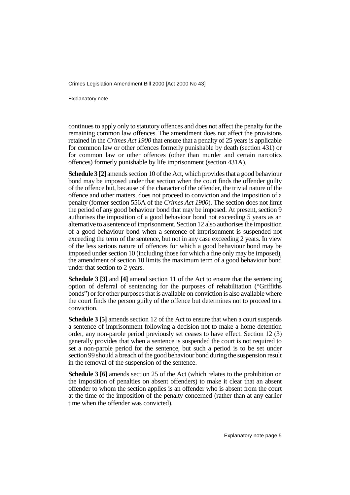Explanatory note

continues to apply only to statutory offences and does not affect the penalty for the remaining common law offences. The amendment does not affect the provisions retained in the *Crimes Act 1900* that ensure that a penalty of 25 years is applicable for common law or other offences formerly punishable by death (section 431) or for common law or other offences (other than murder and certain narcotics offences) formerly punishable by life imprisonment (section 431A).

**Schedule 3 [2]** amends section 10 of the Act, which provides that a good behaviour bond may be imposed under that section when the court finds the offender guilty of the offence but, because of the character of the offender, the trivial nature of the offence and other matters, does not proceed to conviction and the imposition of a penalty (former section 556A of the *Crimes Act 1900*). The section does not limit the period of any good behaviour bond that may be imposed. At present, section 9 authorises the imposition of a good behaviour bond not exceeding 5 years as an alternative to a sentence of imprisonment. Section 12 also authorises the imposition of a good behaviour bond when a sentence of imprisonment is suspended not exceeding the term of the sentence, but not in any case exceeding 2 years. In view of the less serious nature of offences for which a good behaviour bond may be imposed under section 10 (including those for which a fine only may be imposed), the amendment of section 10 limits the maximum term of a good behaviour bond under that section to 2 years.

**Schedule 3 [3]** and **[4]** amend section 11 of the Act to ensure that the sentencing option of deferral of sentencing for the purposes of rehabilitation ("Griffiths bonds") or for other purposes that is available on conviction is also available where the court finds the person guilty of the offence but determines not to proceed to a conviction.

**Schedule 3 [5]** amends section 12 of the Act to ensure that when a court suspends a sentence of imprisonment following a decision not to make a home detention order, any non-parole period previously set ceases to have effect. Section 12 (3) generally provides that when a sentence is suspended the court is not required to set a non-parole period for the sentence, but such a period is to be set under section 99 should a breach of the good behaviour bond during the suspension result in the removal of the suspension of the sentence.

**Schedule 3 [6]** amends section 25 of the Act (which relates to the prohibition on the imposition of penalties on absent offenders) to make it clear that an absent offender to whom the section applies is an offender who is absent from the court at the time of the imposition of the penalty concerned (rather than at any earlier time when the offender was convicted).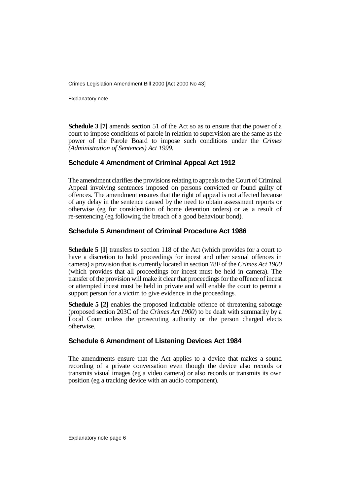Explanatory note

**Schedule 3 [7]** amends section 51 of the Act so as to ensure that the power of a court to impose conditions of parole in relation to supervision are the same as the power of the Parole Board to impose such conditions under the *Crimes (Administration of Sentences) Act 1999*.

# **Schedule 4 Amendment of Criminal Appeal Act 1912**

The amendment clarifies the provisions relating to appeals to the Court of Criminal Appeal involving sentences imposed on persons convicted or found guilty of offences. The amendment ensures that the right of appeal is not affected because of any delay in the sentence caused by the need to obtain assessment reports or otherwise (eg for consideration of home detention orders) or as a result of re-sentencing (eg following the breach of a good behaviour bond).

#### **Schedule 5 Amendment of Criminal Procedure Act 1986**

**Schedule 5 [1]** transfers to section 118 of the Act (which provides for a court to have a discretion to hold proceedings for incest and other sexual offences in camera) a provision that is currently located in section 78F of the *Crimes Act 1900* (which provides that all proceedings for incest must be held in camera). The transfer of the provision will make it clear that proceedings for the offence of incest or attempted incest must be held in private and will enable the court to permit a support person for a victim to give evidence in the proceedings.

**Schedule 5 [2]** enables the proposed indictable offence of threatening sabotage (proposed section 203C of the *Crimes Act 1900*) to be dealt with summarily by a Local Court unless the prosecuting authority or the person charged elects otherwise.

#### **Schedule 6 Amendment of Listening Devices Act 1984**

The amendments ensure that the Act applies to a device that makes a sound recording of a private conversation even though the device also records or transmits visual images (eg a video camera) or also records or transmits its own position (eg a tracking device with an audio component).